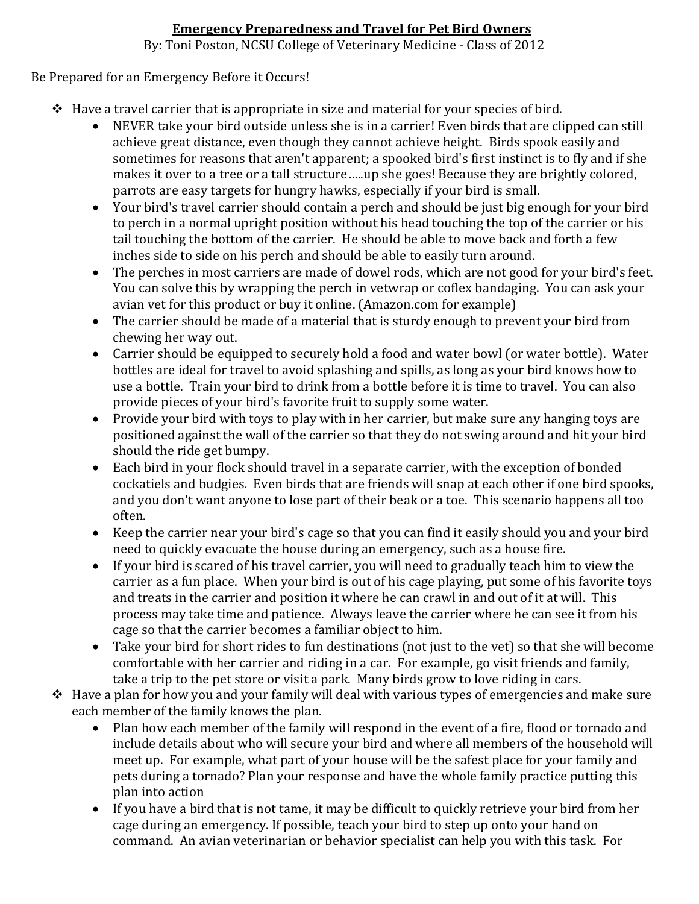### **Emergency Preparedness and Travel for Pet Bird Owners**

By: Toni Poston, NCSU College of Veterinary Medicine - Class of 2012

#### Be Prepared for an Emergency Before it Occurs!

- $\triangle$  Have a travel carrier that is appropriate in size and material for your species of bird.
	- NEVER take your bird outside unless she is in a carrier! Even birds that are clipped can still achieve great distance, even though they cannot achieve height. Birds spook easily and sometimes for reasons that aren't apparent; a spooked bird's first instinct is to fly and if she makes it over to a tree or a tall structure…..up she goes! Because they are brightly colored, parrots are easy targets for hungry hawks, especially if your bird is small.
	- Your bird's travel carrier should contain a perch and should be just big enough for your bird to perch in a normal upright position without his head touching the top of the carrier or his tail touching the bottom of the carrier. He should be able to move back and forth a few inches side to side on his perch and should be able to easily turn around.
	- The perches in most carriers are made of dowel rods, which are not good for your bird's feet. You can solve this by wrapping the perch in vetwrap or coflex bandaging. You can ask your avian vet for this product or buy it online. (Amazon.com for example)
	- The carrier should be made of a material that is sturdy enough to prevent your bird from chewing her way out.
	- Carrier should be equipped to securely hold a food and water bowl (or water bottle). Water bottles are ideal for travel to avoid splashing and spills, as long as your bird knows how to use a bottle. Train your bird to drink from a bottle before it is time to travel. You can also provide pieces of your bird's favorite fruit to supply some water.
	- Provide your bird with toys to play with in her carrier, but make sure any hanging toys are positioned against the wall of the carrier so that they do not swing around and hit your bird should the ride get bumpy.
	- Each bird in your flock should travel in a separate carrier, with the exception of bonded cockatiels and budgies. Even birds that are friends will snap at each other if one bird spooks, and you don't want anyone to lose part of their beak or a toe. This scenario happens all too often.
	- Keep the carrier near your bird's cage so that you can find it easily should you and your bird need to quickly evacuate the house during an emergency, such as a house fire.
	- If your bird is scared of his travel carrier, you will need to gradually teach him to view the carrier as a fun place. When your bird is out of his cage playing, put some of his favorite toys and treats in the carrier and position it where he can crawl in and out of it at will. This process may take time and patience. Always leave the carrier where he can see it from his cage so that the carrier becomes a familiar object to him.
	- Take your bird for short rides to fun destinations (not just to the vet) so that she will become comfortable with her carrier and riding in a car. For example, go visit friends and family, take a trip to the pet store or visit a park. Many birds grow to love riding in cars.
- \* Have a plan for how you and your family will deal with various types of emergencies and make sure each member of the family knows the plan.<br>• Plan how each member of the family
	- Plan how each member of the family will respond in the event of a fire, flood or tornado and include details about who will secure your bird and where all members of the household will meet up. For example, what part of your house will be the safest place for your family and pets during a tornado? Plan your response and have the whole family practice putting this plan into action
	- If you have a bird that is not tame, it may be difficult to quickly retrieve your bird from her cage during an emergency. If possible, teach your bird to step up onto your hand on command. An avian veterinarian or behavior specialist can help you with this task. For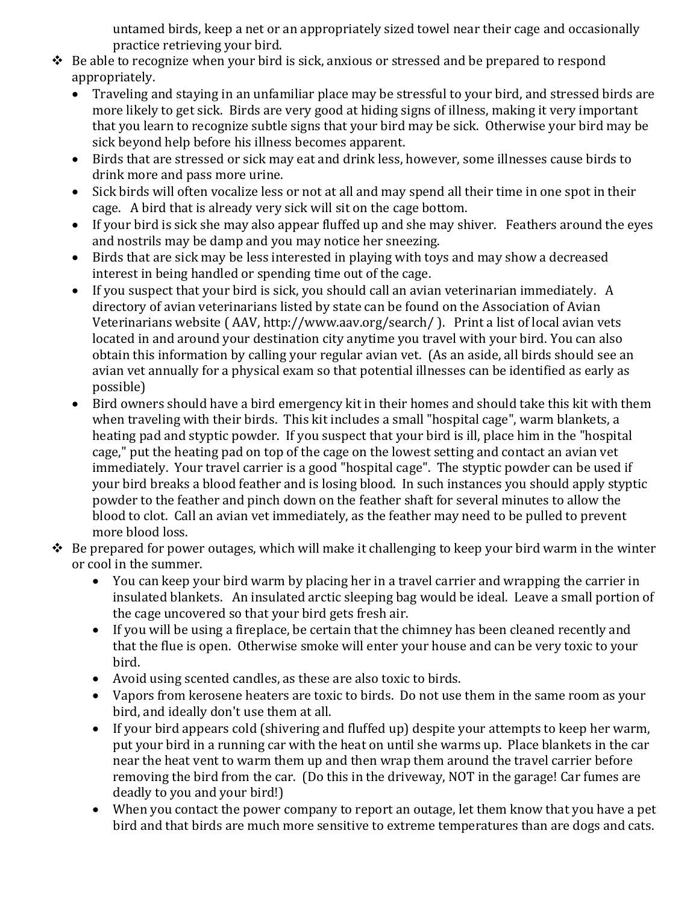untamed birds, keep a net or an appropriately sized towel near their cage and occasionally practice retrieving your bird.

- $\triangle$  Be able to recognize when your bird is sick, anxious or stressed and be prepared to respond appropriately.<br>• Traveling a
	- Traveling and staying in an unfamiliar place may be stressful to your bird, and stressed birds are more likely to get sick. Birds are very good at hiding signs of illness, making it very important that you learn to recognize subtle signs that your bird may be sick. Otherwise your bird may be sick beyond help before his illness becomes apparent.
	- Birds that are stressed or sick may eat and drink less, however, some illnesses cause birds to drink more and pass more urine.
	- Sick birds will often vocalize less or not at all and may spend all their time in one spot in their cage. A bird that is already very sick will sit on the cage bottom.
	- If your bird is sick she may also appear fluffed up and she may shiver. Feathers around the eyes and nostrils may be damp and you may notice her sneezing.
	- Birds that are sick may be less interested in playing with toys and may show a decreased interest in being handled or spending time out of the cage.
	- If you suspect that your bird is sick, you should call an avian veterinarian immediately. A directory of avian veterinarians listed by state can be found on the Association of Avian Veterinarians website ( AAV, http://www.aav.org/search/ ). Print a list of local avian vets located in and around your destination city anytime you travel with your bird. You can also obtain this information by calling your regular avian vet. (As an aside, all birds should see an avian vet annually for a physical exam so that potential illnesses can be identified as early as possible)
	- Bird owners should have a bird emergency kit in their homes and should take this kit with them when traveling with their birds. This kit includes a small "hospital cage", warm blankets, a heating pad and styptic powder. If you suspect that your bird is ill, place him in the "hospital cage," put the heating pad on top of the cage on the lowest setting and contact an avian vet immediately. Your travel carrier is a good "hospital cage". The styptic powder can be used if your bird breaks a blood feather and is losing blood. In such instances you should apply styptic powder to the feather and pinch down on the feather shaft for several minutes to allow the blood to clot. Call an avian vet immediately, as the feather may need to be pulled to prevent more blood loss.
- $\triangle$  Be prepared for power outages, which will make it challenging to keep your bird warm in the winter or cool in the summer.
	- You can keep your bird warm by placing her in a travel carrier and wrapping the carrier in insulated blankets. An insulated arctic sleeping bag would be ideal. Leave a small portion of the cage uncovered so that your bird gets fresh air.
	- If you will be using a fireplace, be certain that the chimney has been cleaned recently and that the flue is open. Otherwise smoke will enter your house and can be very toxic to your bird.
	- Avoid using scented candles, as these are also toxic to birds.
	- Vapors from kerosene heaters are toxic to birds. Do not use them in the same room as your bird, and ideally don't use them at all.
	- If your bird appears cold (shivering and fluffed up) despite your attempts to keep her warm, put your bird in a running car with the heat on until she warms up. Place blankets in the car near the heat vent to warm them up and then wrap them around the travel carrier before removing the bird from the car. (Do this in the driveway, NOT in the garage! Car fumes are deadly to you and your bird!)
	- When you contact the power company to report an outage, let them know that you have a pet bird and that birds are much more sensitive to extreme temperatures than are dogs and cats.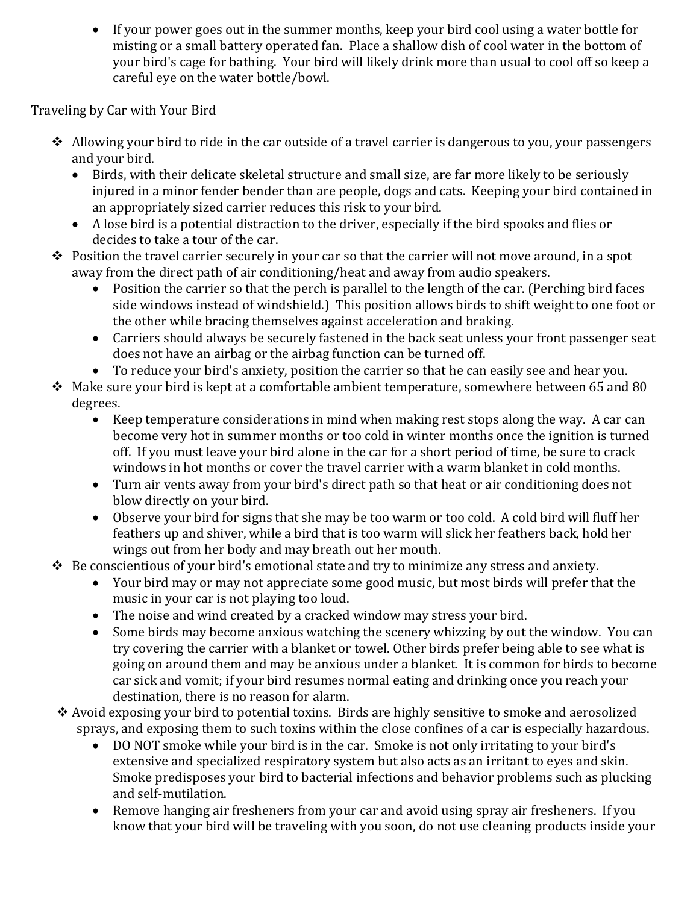• If your power goes out in the summer months, keep your bird cool using a water bottle for misting or a small battery operated fan. Place a shallow dish of cool water in the bottom of your bird's cage for bathing. Your bird will likely drink more than usual to cool off so keep a careful eye on the water bottle/bowl.

# Traveling by Car with Your Bird

- $\triangle$  Allowing your bird to ride in the car outside of a travel carrier is dangerous to you, your passengers and your bird.
	- Birds, with their delicate skeletal structure and small size, are far more likely to be seriously injured in a minor fender bender than are people, dogs and cats. Keeping your bird contained in an appropriately sized carrier reduces this risk to your bird.
	- A lose bird is a potential distraction to the driver, especially if the bird spooks and flies or decides to take a tour of the car.
- $\triangle$  Position the travel carrier securely in your car so that the carrier will not move around, in a spot away from the direct path of air conditioning/heat and away from audio speakers.
	- Position the carrier so that the perch is parallel to the length of the car. (Perching bird faces side windows instead of windshield.) This position allows birds to shift weight to one foot or the other while bracing themselves against acceleration and braking.
	- Carriers should always be securely fastened in the back seat unless your front passenger seat does not have an airbag or the airbag function can be turned off.
	- To reduce your bird's anxiety, position the carrier so that he can easily see and hear you.
- $\div$  Make sure your bird is kept at a comfortable ambient temperature, somewhere between 65 and 80 degrees.<br>K
	- Keep temperature considerations in mind when making rest stops along the way. A car can become very hot in summer months or too cold in winter months once the ignition is turned off. If you must leave your bird alone in the car for a short period of time, be sure to crack windows in hot months or cover the travel carrier with a warm blanket in cold months.
	- Turn air vents away from your bird's direct path so that heat or air conditioning does not blow directly on your bird.
	- Observe your bird for signs that she may be too warm or too cold. A cold bird will fluff her feathers up and shiver, while a bird that is too warm will slick her feathers back, hold her wings out from her body and may breath out her mouth.
- $\triangle$  Be conscientious of your bird's emotional state and try to minimize any stress and anxiety.
	- Your bird may or may not appreciate some good music, but most birds will prefer that the music in your car is not playing too loud.
	- The noise and wind created by a cracked window may stress your bird.
	- Some birds may become anxious watching the scenery whizzing by out the window. You can try covering the carrier with a blanket or towel. Other birds prefer being able to see what is going on around them and may be anxious under a blanket. It is common for birds to become car sick and vomit; if your bird resumes normal eating and drinking once you reach your destination, there is no reason for alarm.
- Avoid exposing your bird to potential toxins. Birds are highly sensitive to smoke and aerosolized sprays, and exposing them to such toxins within the close confines of a car is especially hazardous.
	- DO NOT smoke while your bird is in the car. Smoke is not only irritating to your bird's extensive and specialized respiratory system but also acts as an irritant to eyes and skin. Smoke predisposes your bird to bacterial infections and behavior problems such as plucking and self-mutilation.
	- Remove hanging air fresheners from your car and avoid using spray air fresheners. If you know that your bird will be traveling with you soon, do not use cleaning products inside your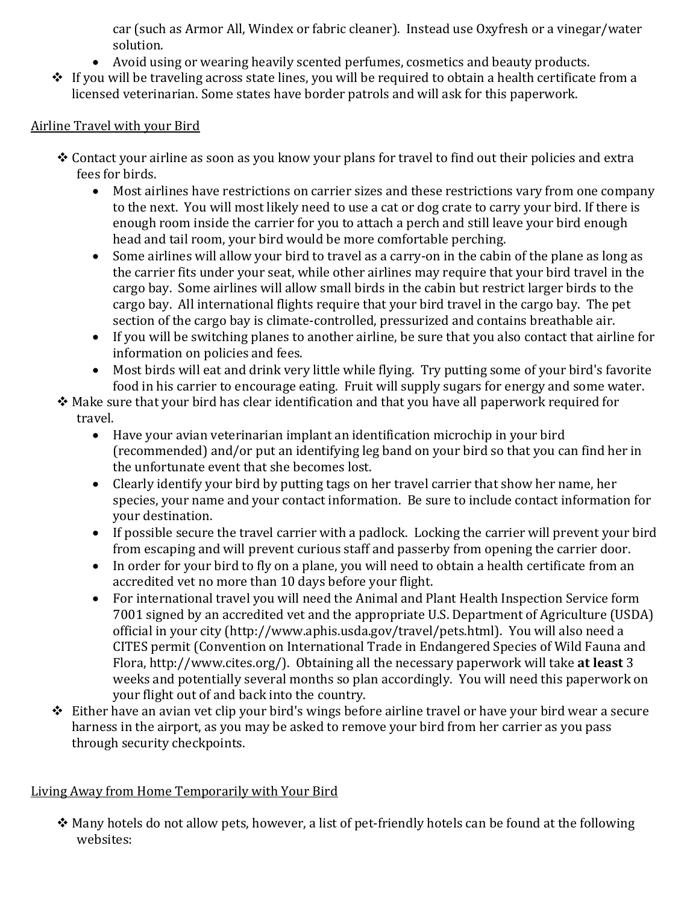car (such as Armor All, Windex or fabric cleaner). Instead use Oxyfresh or a vinegar/water solution.

- Avoid using or wearing heavily scented perfumes, cosmetics and beauty products.
- $\cdot \cdot$  If you will be traveling across state lines, you will be required to obtain a health certificate from a licensed veterinarian. Some states have border patrols and will ask for this paperwork.

### Airline Travel with your Bird

- Contact your airline as soon as you know your plans for travel to find out their policies and extra fees for birds.<br>• Most air
	- Most airlines have restrictions on carrier sizes and these restrictions vary from one company to the next. You will most likely need to use a cat or dog crate to carry your bird. If there is enough room inside the carrier for you to attach a perch and still leave your bird enough head and tail room, your bird would be more comfortable perching.
	- Some airlines will allow your bird to travel as a carry-on in the cabin of the plane as long as the carrier fits under your seat, while other airlines may require that your bird travel in the cargo bay. Some airlines will allow small birds in the cabin but restrict larger birds to the cargo bay. All international flights require that your bird travel in the cargo bay. The pet section of the cargo bay is climate-controlled, pressurized and contains breathable air.
	- If you will be switching planes to another airline, be sure that you also contact that airline for information on policies and fees.
	- Most birds will eat and drink very little while flying. Try putting some of your bird's favorite food in his carrier to encourage eating. Fruit will supply sugars for energy and some water.
- $\triangle$  Make sure that your bird has clear identification and that you have all paperwork required for travel.
	- Have your avian veterinarian implant an identification microchip in your bird (recommended) and/or put an identifying leg band on your bird so that you can find her in the unfortunate event that she becomes lost.
	- Clearly identify your bird by putting tags on her travel carrier that show her name, her species, your name and your contact information. Be sure to include contact information for your destination.
	- If possible secure the travel carrier with a padlock. Locking the carrier will prevent your bird from escaping and will prevent curious staff and passerby from opening the carrier door.
	- In order for your bird to fly on a plane, you will need to obtain a health certificate from an accredited vet no more than 10 days before your flight.
	- For international travel you will need the Animal and Plant Health Inspection Service form 7001 signed by an accredited vet and the appropriate U.S. Department of Agriculture (USDA) official in your city (http://www.aphis.usda.gov/travel/pets.html). You will also need a CITES permit (Convention on International Trade in Endangered Species of Wild Fauna and Flora, http://www.cites.org/). Obtaining all the necessary paperwork will take **at least** 3 weeks and potentially several months so plan accordingly. You will need this paperwork on your flight out of and back into the country.
- $\triangle$  Either have an avian vet clip your bird's wings before airline travel or have your bird wear a secure harness in the airport, as you may be asked to remove your bird from her carrier as you pass through security checkpoints.

# Living Away from Home Temporarily with Your Bird

 $\cdot$  Many hotels do not allow pets, however, a list of pet-friendly hotels can be found at the following websites: